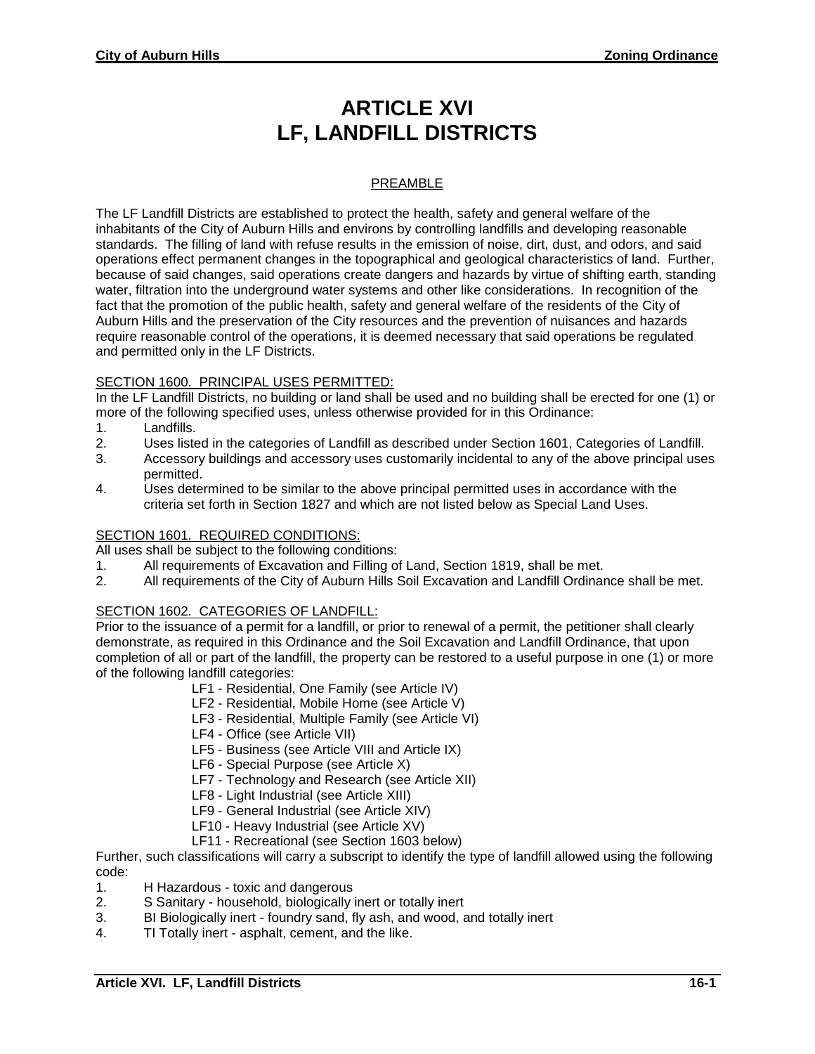# **ARTICLE XVI LF, LANDFILL DISTRICTS**

## PREAMBLE

The LF Landfill Districts are established to protect the health, safety and general welfare of the inhabitants of the City of Auburn Hills and environs by controlling landfills and developing reasonable standards. The filling of land with refuse results in the emission of noise, dirt, dust, and odors, and said operations effect permanent changes in the topographical and geological characteristics of land. Further, because of said changes, said operations create dangers and hazards by virtue of shifting earth, standing water, filtration into the underground water systems and other like considerations. In recognition of the fact that the promotion of the public health, safety and general welfare of the residents of the City of Auburn Hills and the preservation of the City resources and the prevention of nuisances and hazards require reasonable control of the operations, it is deemed necessary that said operations be regulated and permitted only in the LF Districts.

#### SECTION 1600. PRINCIPAL USES PERMITTED:

In the LF Landfill Districts, no building or land shall be used and no building shall be erected for one (1) or more of the following specified uses, unless otherwise provided for in this Ordinance:

- 1. Landfills.
- 2. Uses listed in the categories of Landfill as described under Section 1601, Categories of Landfill.
- 3. Accessory buildings and accessory uses customarily incidental to any of the above principal uses permitted.
- 4. Uses determined to be similar to the above principal permitted uses in accordance with the criteria set forth in Section 1827 and which are not listed below as Special Land Uses.

#### SECTION 1601. REQUIRED CONDITIONS:

All uses shall be subject to the following conditions:

- 1. All requirements of Excavation and Filling of Land, Section 1819, shall be met.
- 2. All requirements of the City of Auburn Hills Soil Excavation and Landfill Ordinance shall be met.

#### SECTION 1602. CATEGORIES OF LANDFILL:

Prior to the issuance of a permit for a landfill, or prior to renewal of a permit, the petitioner shall clearly demonstrate, as required in this Ordinance and the Soil Excavation and Landfill Ordinance, that upon completion of all or part of the landfill, the property can be restored to a useful purpose in one (1) or more of the following landfill categories:

- LF1 Residential, One Family (see Article IV)
- LF2 Residential, Mobile Home (see Article V)
- LF3 Residential, Multiple Family (see Article VI)
- LF4 Office (see Article VII)
- LF5 Business (see Article VIII and Article IX)
- LF6 Special Purpose (see Article X)
- LF7 Technology and Research (see Article XII)
- LF8 Light Industrial (see Article XIII)
- LF9 General Industrial (see Article XIV)
- LF10 Heavy Industrial (see Article XV)
- LF11 Recreational (see Section 1603 below)

Further, such classifications will carry a subscript to identify the type of landfill allowed using the following code:

- 1. H Hazardous toxic and dangerous
- 2. S Sanitary household, biologically inert or totally inert
- 3. BI Biologically inert foundry sand, fly ash, and wood, and totally inert
- 4. TI Totally inert asphalt, cement, and the like.